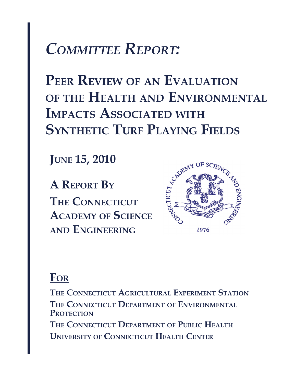# *Committee Report:*

**Peer Review of an Evaluation of the Health and Environmental Impacts Associated with Synthetic Turf Playing Fields**

**June 15, 2010**

**A Report By The Connecticut Academy of Science and Engineering**



## **For**

**The Connecticut Agricultural Experiment Station The Connecticut Department of Environmental** PROTECTION

**The Connecticut Department of Public Health University of Connecticut Health Center**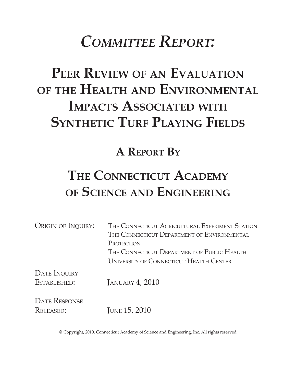# *Committee Report:*

## **Peer Review of an Evaluation of the Health and Environmental Impacts Associated with Synthetic Turf Playing Fields**

## **A Report By**

## **The Connecticut Academy of Science and Engineering**

| <b>ORIGIN OF INQUIRY:</b>                | THE CONNECTICUT AGRICULTURAL EXPERIMENT STATION<br>THE CONNECTICUT DEPARTMENT OF ENVIRONMENTAL<br>PROTECTION<br>THE CONNECTICUT DEPARTMENT OF PUBLIC HEALTH<br>UNIVERSITY OF CONNECTICUT HEALTH CENTER |  |
|------------------------------------------|--------------------------------------------------------------------------------------------------------------------------------------------------------------------------------------------------------|--|
| DATE INQUIRY<br>ESTABLISHED:             | JANUARY 4, 2010                                                                                                                                                                                        |  |
| <b>DATE RESPONSE</b><br><b>RELEASED:</b> | <b>JUNE 15, 2010</b>                                                                                                                                                                                   |  |

© Copyright, 2010. Connecticut Academy of Science and Engineering, Inc. All rights reserved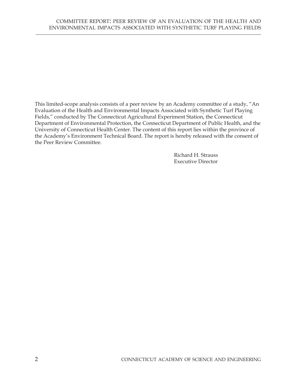This limited-scope analysis consists of a peer review by an Academy committee of a study, "An Evaluation of the Health and Environmental Impacts Associated with Synthetic Turf Playing Fields," conducted by The Connecticut Agricultural Experiment Station, the Connecticut Department of Environmental Protection, the Connecticut Department of Public Health, and the University of Connecticut Health Center. The content of this report lies within the province of the Academy's Environment Technical Board. The report is hereby released with the consent of the Peer Review Committee.

> Richard H. Strauss Executive Director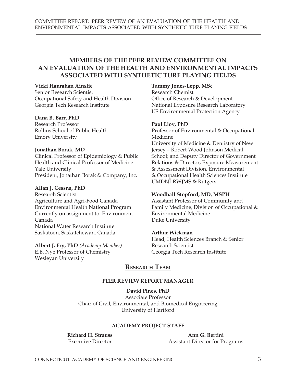## **MEMBERS OF THE PEER REVIEW COMMITTEE ON AN EVALUATION OF THE HEALTH AND ENVIRONMENTAL IMPACTS ASSOCIATED WITH SYNTHETIC TURF PLAYING FIELDS**

#### **Vicki Hanrahan Ainslie**

Senior Research Scientist Occupational Safety and Health Division Georgia Tech Research Institute

#### **Dana B. Barr, PhD**

Research Professor Rollins School of Public Health Emory University

#### **Jonathan Borak, MD**

Clinical Professor of Epidemiology & Public Health and Clinical Professor of Medicine Yale University President, Jonathan Borak & Company, Inc.

#### **Allan J. Cessna, PhD**

Research Scientist Agriculture and Agri-Food Canada Environmental Health National Program Currently on assignment to: Environment Canada National Water Research Institute Saskatoon, Saskatchewan, Canada

**Albert J. Fry, PhD** *(Academy Member)* E.B. Nye Professor of Chemistry Wesleyan University

#### **Tammy Jones-Lepp, MSc**

Research Chemist Office of Research & Development National Exposure Research Laboratory US Environmental Protection Agency

#### **Paul Lioy, PhD**

Professor of Environmental & Occupational Medicine University of Medicine & Dentistry of New Jersey – Robert Wood Johnson Medical School; and Deputy Director of Government Relations & Director, Exposure Measurement & Assessment Division, Environmental & Occupational Health Sciences Institute UMDNJ-RWJMS & Rutgers

#### **Woodhall Stopford, MD, MSPH**

Assistant Professor of Community and Family Medicine, Division of Occupational & Environmental Medicine Duke University

#### **Arthur Wickman**

Head, Health Sciences Branch & Senior Research Scientist Georgia Tech Research Institute

## **Research Team**

#### **PEER REVIEW REPORT MANAGER**

#### **David Pines, PhD**

Associate Professor Chair of Civil, Environmental, and Biomedical Engineering University of Hartford

#### **ACADEMY PROJECT STAFF**

**Richard H. Strauss** Executive Director

**Ann G. Bertini** Assistant Director for Programs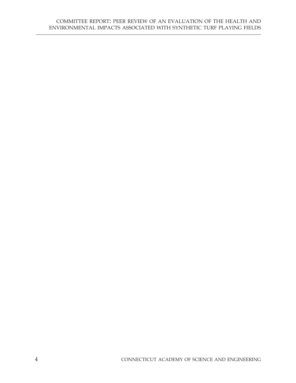#### committee report: peer review of an evaluation of the health and environmental impacts associated with synthetic turf playing fields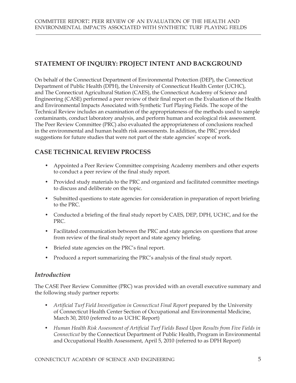## **STATEMENT OF INQUIRY: Project Intent and Background**

On behalf of the Connecticut Department of Environmental Protection (DEP), the Connecticut Department of Public Health (DPH), the University of Connecticut Health Center (UCHC), and The Connecticut Agricultural Station (CAES), the Connecticut Academy of Science and Engineering (CASE) performed a peer review of their final report on the Evaluation of the Health and Environmental Impacts Associated with Synthetic Turf Playing Fields. The scope of the Technical Review includes an examination of the appropriateness of the methods used to sample contaminants, conduct laboratory analysis, and perform human and ecological risk assessment. The Peer Review Committee (PRC) also evaluated the appropriateness of conclusions reached in the environmental and human health risk assessments. In addition, the PRC provided suggestions for future studies that were not part of the state agencies' scope of work.

## **CASE TECHNICAL REVIEW PROCESS**

- Appointed a Peer Review Committee comprising Academy members and other experts to conduct a peer review of the final study report.
- Provided study materials to the PRC and organized and facilitated committee meetings to discuss and deliberate on the topic.
- Submitted questions to state agencies for consideration in preparation of report briefing to the PRC.
- Conducted a briefing of the final study report by CAES, DEP, DPH, UCHC, and for the PRC.
- Facilitated communication between the PRC and state agencies on questions that arose from review of the final study report and state agency briefing.
- Briefed state agencies on the PRC's final report.
- Produced a report summarizing the PRC's analysis of the final study report.

## *Introduction*

The CASE Peer Review Committee (PRC) was provided with an overall executive summary and the following study partner reports:

- *Artificial Turf Field Investigation in Connecticut Final Report* prepared by the University of Connecticut Health Center Section of Occupational and Environmental Medicine, March 30, 2010 (referred to as UCHC Report)
- *• Human Health Risk Assessment of Artificial Turf Fields Based Upon Results from Five Fields in Connecticut* by the Connecticut Department of Public Health, Program in Environmental and Occupational Health Assessment, April 5, 2010 (referred to as DPH Report)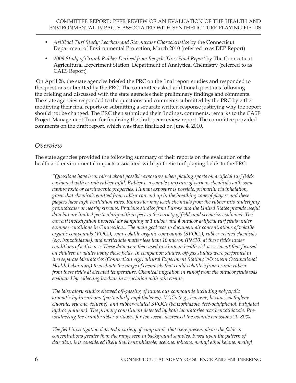- *• Artificial Turf Study: Leachate and Stormwater Characteristics* by the Connecticut Department of Environmental Protection, March 2010 (referred to as DEP Report)
- *• 2009 Study of Crumb Rubber Derived from Recycle Tires Final Report* by The Connecticut Agricultural Experiment Station, Department of Analytical Chemistry (referred to as CAES Report)

 On April 28, the state agencies briefed the PRC on the final report studies and responded to the questions submitted by the PRC. The committee asked additional questions following the briefing and discussed with the state agencies their preliminary findings and comments. The state agencies responded to the questions and comments submitted by the PRC by either modifying their final reports or submitting a separate written response justifying why the report should not be changed. The PRC then submitted their findings, comments, remarks to the CASE Project Management Team for finalizing the draft peer review report. The committee provided comments on the draft report, which was then finalized on June 4, 2010.

## *Overview*

The state agencies provided the following summary of their reports on the evaluation of the health and environmental impacts associated with synthetic turf playing fields to the PRC:

*"Questions have been raised about possible exposures when playing sports on artificial turf fields cushioned with crumb rubber infill. Rubber is a complex mixture of various chemicals with some having toxic or carcinogenic properties. Human exposure is possible, primarily via inhalation, given that chemicals emitted from rubber can end up in the breathing zone of players and these players have high ventilation rates. Rainwater may leach chemicals from the rubber into underlying groundwater or nearby streams. Previous studies from Europe and the United States provide useful data but are limited particularly with respect to the variety of fields and scenarios evaluated. The current investigation involved air sampling at 1 indoor and 4 outdoor artificial turf fields under summer conditions in Connecticut. The main goal was to document air concentrations of volatile organic compounds (VOCs), semi-volatile organic compounds (SVOCs), rubber-related chemicals (e.g. benzothiazole), and particulate matter less than 10 micron (PM10) at these fields under conditions of active use. These data were then used in a human health risk assessment that focused on children or adults using these fields. In companion studies, off-gas studies were performed in two separate laboratories (Connecticut Agricultural Experiment Station; Wisconsin Occupational Health Laboratory) to evaluate the range of chemicals that could volatilize from crumb rubber from these fields at elevated temperature. Chemical migration in runoff from the outdoor fields was evaluated by collecting leachate in association with rain events.* 

*The laboratory studies showed off-gassing of numerous compounds including polycyclic aromatic hydrocarbons (particularly naphthalenes), VOCs (e.g., benzene, hexane, methylene chloride, styrene, toluene), and rubber-related SVOCs (benzothiazole, tert-octylphenol, butylated hydroxytoluene). The primary constituent detected by both laboratories was benzothiazole. Preweathering the crumb rubber outdoors for ten weeks decreased the volatile emissions 20-80%.* 

*The field investigation detected a variety of compounds that were present above the fields at concentrations greater than the range seen in background samples. Based upon the pattern of detection, it is considered likely that benzothiazole, acetone, toluene, methyl ethyl ketone, methyl*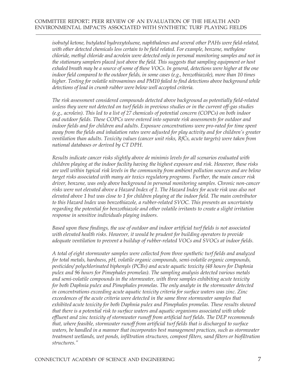*isobutyl ketone, butylated hydroxytoluene, naphthalenes and several other PAHs were field-related, with other detected chemicals less certain to be field related. For example, benzene, methylene chloride, methyl chloride and acrolein were detected only in personal monitoring samples and not in the stationary samplers placed just above the field. This suggests that sampling equipment or host exhaled breath may be a source of some of these VOCs. In general, detections were higher at the one indoor field compared to the outdoor fields, in some cases (e.g., benzothiazole), more than 10 times higher. Testing for volatile nitrosamines and PM10 failed to find detections above background while detections of lead in crumb rubber were below well accepted criteria.* 

*The risk assessment considered compounds detected above background as potentially field-related unless they were not detected on turf fields in previous studies or in the current off-gas studies (e.g., acrolein). This led to a list of 27 chemicals of potential concern (COPCs) on both indoor and outdoor fields. These COPCs were entered into separate risk assessments for outdoor and indoor fields and for children and adults. Exposure concentrations were pro-rated for time spent away from the fields and inhalation rates were adjusted for play activity and for children's greater ventilation than adults. Toxicity values (cancer unit risks, RfCs, acute targets) were taken from national databases or derived by CT DPH.* 

*Results indicate cancer risks slightly above de minimis levels for all scenarios evaluated with children playing at the indoor facility having the highest exposure and risk. However, these risks are well within typical risk levels in the community from ambient pollution sources and are below target risks associated with many air toxics regulatory programs. Further, the main cancer risk driver, benzene, was only above background in personal monitoring samples. Chronic non-cancer risks were not elevated above a Hazard Index of 1. The Hazard Index for acute risk was also not elevated above 1 but was close to 1 for children playing at the indoor field. The main contributor to this Hazard Index was benzothiazole, a rubber-related SVOC. This presents an uncertainty regarding the potential for benzothiazole and other volatile irritants to create a slight irritation response in sensitive individuals playing indoors.* 

*Based upon these findings, the use of outdoor and indoor artificial turf fields is not associated*  with elevated health risks. However, it would be prudent for building operators to provide *adequate ventilation to prevent a buildup of rubber-related VOCs and SVOCs at indoor fields.* 

*A total of eight stormwater samples were collected from three synthetic turf fields and analyzed for total metals, hardness, pH, volatile organic compounds, semi-volatile organic compounds, pesticides/ polychlorinated biphenyls (PCBs) and acute aquatic toxicity (48 hours for Daphnia pulex and 96 hours for Pimephales promelas). The sampling analysis detected various metals and semi-volatile compounds in the stormwater, with three samples exhibiting acute toxicity for both Daphnia pulex and Pimephales promelas. The only analyte in the stormwater detected in concentrations exceeding acute aquatic toxicity criteria for surface waters was zinc. Zinc exceedences of the acute criteria were detected in the same three stormwater samples that exhibited acute toxicity for both Daphnia pulex and Pimephales promelas. These results showed that there is a potential risk to surface waters and aquatic organisms associated with whole effluent and zinc toxicity of stormwater runoff from artificial turf fields. The DEP recommends that, where feasible, stormwater runoff from artificial turf fields that is discharged to surface waters, be handled in a manner that incorporates best management practices, such as stormwater treatment wetlands, wet ponds, infiltration structures, compost filters, sand filters or biofiltration structures."*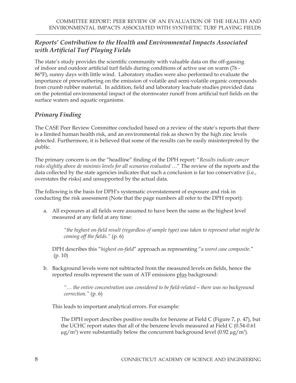## *Reports' Contribution to the Health and Environmental Impacts Associated with Artificial Turf Playing Fields*

The state's study provides the scientific community with valuable data on the off-gassing of indoor and outdoor artificial turf fields during conditions of active use on warm (76 - 86°F), sunny days with little wind. Laboratory studies were also performed to evaluate the importance of preweathering on the emission of volatile and semi-volatile organic compounds from crumb rubber material. In addition, field and laboratory leachate studies provided data on the potential environmental impact of the stormwater runoff from artificial turf fields on the surface waters and aquatic organisms.

## *Primary Finding*

The CASE Peer Review Committee concluded based on a review of the state's reports that there is a limited human health risk, and an environmental risk as shown by the high zinc levels detected. Furthermore, it is believed that some of the results can be easily misinterpreted by the public.

The primary concern is on the "headline" finding of the DPH report: "*Results indicate cancer risks slightly above de minimis levels for all scenarios evaluated …*" The review of the reports and the data collected by the state agencies indicates that such a conclusion is far too conservative (i.e., overstates the risks) and unsupported by the actual data.

The following is the basis for DPH's systematic overstatement of exposure and risk in conducting the risk assessment (Note that the page numbers all refer to the DPH report):

a. All exposures at all fields were assumed to have been the same as the highest level measured at any field at any time:

*"the highest on-field result (regardless of sample type) was taken to represent what might be coming off the fields."* (p. 6)

DPH describes this "*highest on-field*" approach as representing "*a worst case composite.*" (p. 10)

b. Background levels were not subtracted from the measured levels on fields, hence the reported results represent the sum of ATF emissions plus background:

*"… the entire concentration was considered to be field-related—there was no background correction."* (p. 6)

This leads to important analytical errors. For example:

The DPH report describes positive results for benzene at Field C (Figure 7, p. 47), but the UCHC report states that all of the benzene levels measured at Field C (0.54-0.61  $\mu$ g/m<sup>3</sup>) were substantially below the concurrent background level (0.92  $\mu$ g/m<sup>3</sup>).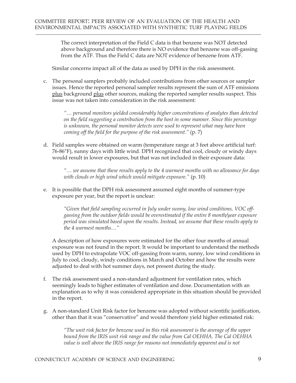The correct interpretation of the Field C data is that benzene was NOT detected above background and therefore there is NO evidence that benzene was off-gassing from the ATF. Thus the Field C data are NOT evidence of benzene from ATF.

Similar concerns impact all of the data as used by DPH in the risk assessment.

c. The personal samplers probably included contributions from other sources or sampler issues. Hence the reported personal sampler results represent the sum of ATF emissions plus background plus other sources, making the reported sampler results suspect. This issue was not taken into consideration in the risk assessment:

*"… personal monitors yielded considerably higher concentrations of analytes than detected on the field suggesting a contribution from the host in some manner. Since this percentage is unknown, the personal monitor detects were used to represent what may have been coming off the field for the purpose of the risk assessment."* (p. 7)

d. Field samples were obtained on warm (temperature range at 3 feet above artificial turf: 76-86°F), sunny days with little wind. DPH recognized that cool, cloudy or windy days would result in lower exposures, but that was not included in their exposure data:

*"… we assume that these results apply to the 4 warmest months with no allowance for days with clouds or high wind which would mitigate exposure."* (p. 10)

e. It is possible that the DPH risk assessment assumed eight months of summer-type exposure per year, but the report is unclear:

*"Given that field sampling occurred in July under sunny, low wind conditions, VOC offgassing from the outdoor fields would be overestimated if the entire 8 month/year exposure period was simulated based upon the results. Instead, we assume that these results apply to the 4 warmest months…"*

A description of how exposures were estimated for the other four months of annual exposure was not found in the report. It would be important to understand the methods used by DPH to extrapolate VOC off-gassing from warm, sunny, low wind conditions in July to cool, cloudy, windy conditions in March and October and how the results were adjusted to deal with hot summer days, not present during the study.

- f. The risk assessment used a non-standard adjustment for ventilation rates, which seemingly leads to higher estimates of ventilation and dose. Documentation with an explanation as to why it was considered appropriate in this situation should be provided in the report.
- g. A non-standard Unit Risk factor for benzene was adopted without scientific justification, other than that it was "conservative" and would therefore yield higher estimated risk:

*"The unit risk factor for benzene used in this risk assessment is the average of the upper bound from the IRIS unit risk range and the value from Cal OEHHA. The Cal OEHHA value is well above the IRIS range for reasons not immediately apparent and is not*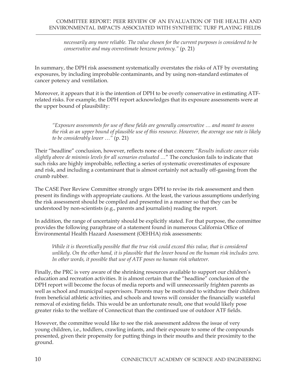*necessarily any more reliable. The value chosen for the current purposes is considered to be conservative and may overestimate benzene potency."* (p. 21)

In summary, the DPH risk assessment systematically overstates the risks of ATF by overstating exposures, by including improbable contaminants, and by using non-standard estimates of cancer potency and ventilation.

Moreover, it appears that it is the intention of DPH to be overly conservative in estimating ATFrelated risks. For example, the DPH report acknowledges that its exposure assessments were at the upper bound of plausibility:

*"Exposure assessments for use of these fields are generally conservative … and meant to assess the risk as an upper bound of plausible use of this resource. However, the average use rate is likely to be considerably lower …"* (p. 21)

Their "headline" conclusion, however, reflects none of that concern: "*Results indicate cancer risks slightly above de minimis levels for all scenarios evaluated …*" The conclusion fails to indicate that such risks are highly improbable, reflecting a series of systematic overestimates of exposure and risk, and including a contaminant that is almost certainly not actually off-gassing from the crumb rubber.

The CASE Peer Review Committee strongly urges DPH to revise its risk assessment and then present its findings with appropriate cautions. At the least, the various assumptions underlying the risk assessment should be compiled and presented in a manner so that they can be understood by non-scientists (e.g., parents and journalists) reading the report.

In addition, the range of uncertainty should be explicitly stated. For that purpose, the committee provides the following paraphrase of a statement found in numerous California Office of Environmental Health Hazard Assessment (OEHHA) risk assessments:

*While it is theoretically possible that the true risk could exceed this value, that is considered unlikely. On the other hand, it is plausible that the lower bound on the human risk includes zero. In other words, it possible that use of ATF poses no human risk whatever.*

Finally, the PRC is very aware of the shrinking resources available to support our children's education and recreation activities. It is almost certain that the "headline" conclusion of the DPH report will become the focus of media reports and will unnecessarily frighten parents as well as school and municipal supervisors. Parents may be motivated to withdraw their children from beneficial athletic activities, and schools and towns will consider the financially wasteful removal of existing fields. This would be an unfortunate result, one that would likely pose greater risks to the welfare of Connecticut than the continued use of outdoor ATF fields.

However, the committee would like to see the risk assessment address the issue of very young children, i.e., toddlers, crawling infants, and their exposure to some of the compounds presented, given their propensity for putting things in their mouths and their proximity to the ground.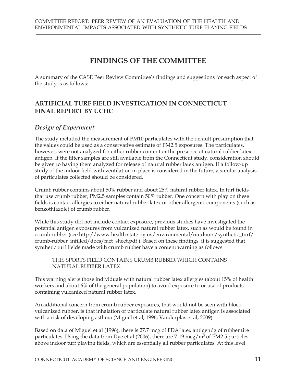## **Findings of the Committee**

A summary of the CASE Peer Review Committee's findings and suggestions for each aspect of the study is as follows:

## **Artificial Turf Field Investigation in Connecticut Final Report by UCHC**

### *Design of Experiment*

The study included the measurement of PM10 particulates with the default presumption that the values could be used as a conservative estimate of PM2.5 exposures. The particulates, however, were not analyzed for either rubber content or the presence of natural rubber latex antigen. If the filter samples are still available from the Connecticut study, consideration should be given to having them analyzed for release of natural rubber latex antigen. If a follow-up study of the indoor field with ventilation in place is considered in the future, a similar analysis of particulates collected should be considered.

Crumb rubber contains about 50% rubber and about 25% natural rubber latex. In turf fields that use crumb rubber, PM2.5 samples contain 50% rubber. One concern with play on these fields is contact allergies to either natural rubber latex or other allergenic components (such as benzothiazole) of crumb rubber.

While this study did not include contact exposure, previous studies have investigated the potential antigen exposures from vulcanized natural rubber latex, such as would be found in crumb rubber (see http://www.health.state.ny.us/environmental/outdoors/synthetic\_turf/ crumb-rubber\_infilled/docs/fact\_sheet.pdf ). Based on these findings, it is suggested that synthetic turf fields made with crumb rubber have a content warning as follows:

#### THIS SPORTS FIELD CONTAINS CRUMB RUBBER WHICH CONTAINS NATURAL RUBBER LATEX.

This warning alerts those individuals with natural rubber latex allergies (about 15% of health workers and about 6% of the general population) to avoid exposure to or use of products containing vulcanized natural rubber latex.

An additional concern from crumb rubber exposures, that would not be seen with block vulcanized rubber, is that inhalation of particulate natural rubber latex antigen is associated with a risk of developing asthma (Miguel et al, 1996; Vanderplas et al, 2009).

Based on data of Miguel et al (1996), there is 27.7 mcg of FDA latex antigen/g of rubber tire particulates. Using the data from Dye et al  $(2006)$ , there are 7-19 mcg/m<sup>3</sup> of PM2.5 particles above indoor turf playing fields, which are essentially all rubber particulates. At this level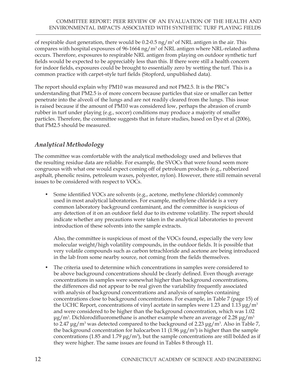of respirable dust generation, there would be 0.2-0.5 ng/ $m^3$  of NRL antigen in the air. This compares with hospital exposures of  $96-1664$  ng/m<sup>3</sup> of NRL antigen where NRL-related asthma occurs. Therefore, exposures to respirable NRL antigen from playing on outdoor synthetic turf fields would be expected to be appreciably less than this. If there were still a health concern for indoor fields, exposures could be brought to essentially zero by wetting the turf. This is a common practice with carpet-style turf fields (Stopford, unpublished data).

The report should explain why PM10 was measured and not PM2.5. It is the PRC's understanding that PM2.5 is of more concern because particles that size or smaller can better penetrate into the alveoli of the lungs and are not readily cleared from the lungs. This issue is raised because if the amount of PM10 was considered low, perhaps the abrasion of crumb rubber in turf under playing (e.g., soccer) conditions may produce a majority of smaller particles. Therefore, the committee suggests that in future studies, based on Dye et al (2006), that PM2.5 should be measured.

## *Analytical Methodology*

The committee was comfortable with the analytical methodology used and believes that the resulting residue data are reliable. For example, the SVOCs that were found seem more congruous with what one would expect coming off of petroleum products (e.g., rubberized asphalt, phenolic resins, petroleum waxes, polyester, nylon). However, there still remain several issues to be considered with respect to VOCs.

• Some identified VOCs are solvents (e.g., acetone, methylene chloride) commonly used in most analytical laboratories. For example, methylene chloride is a very common laboratory background contaminant, and the committee is suspicious of any detection of it on an outdoor field due to its extreme volatility. The report should indicate whether any precautions were taken in the analytical laboratories to prevent introduction of these solvents into the sample extracts.

Also, the committee is suspicious of most of the VOCs found, especially the very low molecular weight/high volatility compounds, in the outdoor fields. It is possible that very volatile compounds such as carbon tetrachloride and acetone are being introduced in the lab from some nearby source, not coming from the fields themselves.

• The criteria used to determine which concentrations in samples were considered to be above background concentrations should be clearly defined. Even though average concentrations in samples were somewhat higher than background concentrations, the differences did not appear to be real given the variability frequently associated with analysis of background concentrations and analysis of samples containing concentrations close to background concentrations. For example, in Table 7 (page 15) of the UCHC Report, concentrations of vinyl acetate in samples were 1.23 and 1.13  $\mu$ g/m<sup>3</sup> and were considered to be higher than the background concentration, which was 1.02 μg/m3. Dichlorodifluoromethane is another example where an average of 2.28 μg/m3 to 2.47 μg/m<sup>3</sup> was detected compared to the background of 2.23 μg/m<sup>3</sup>. Also in Table 7, the background concentration for halocarbon 11  $(1.96 \,\mu g/m^3)$  is higher than the sample concentrations (1.85 and 1.79  $\mu$ g/m<sup>3</sup>), but the sample concentrations are still bolded as if they were higher. The same issues are found in Tables 8 through 11.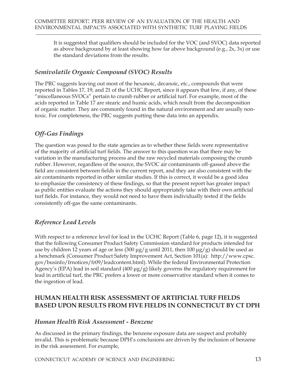It is suggested that qualifiers should be included for the VOC (and SVOC) data reported as above background by at least showing how far above background (e.g.,  $2x$ ,  $3x$ ) or use the standard deviations from the results.

### *Semivolatile Organic Compound (SVOC) Results*

The PRC suggests leaving out most of the hexanoic, decanoic, etc., compounds that were reported in Tables 17, 19, and 21 of the UCHC Report, since it appears that few, if any, of these "miscellaneous SVOCs" pertain to crumb rubber or artificial turf. For example, most of the acids reported in Table 17 are stearic and humic acids, which result from the decomposition of organic matter. They are commonly found in the natural environment and are usually nontoxic. For completeness, the PRC suggests putting these data into an appendix.

## *Off-Gas Findings*

The question was posed to the state agencies as to whether these fields were representative of the majority of artificial turf fields. The answer to this question was that there may be variation in the manufacturing process and the raw recycled materials composing the crumb rubber. However, regardless of the source, the SVOC air contaminants off-gassed above the field are consistent between fields in the current report, and they are also consistent with the air contaminants reported in other similar studies. If this is correct, it would be a good idea to emphasize the consistency of these findings, so that the present report has greater impact as public entities evaluate the actions they should appropriately take with their own artificial turf fields. For instance, they would not need to have them individually tested if the fields consistently off-gas the same contaminants.

#### *Reference Lead Levels*

With respect to a reference level for lead in the UCHC Report (Table 6, page 12), it is suggested that the following Consumer Product Safety Commission standard for products intended for use by children 12 years of age or less  $(300 \mu g/g \text{ until } 2011)$ , then  $100 \mu g/g$  should be used as a benchmark (Consumer Product Safety Improvement Act, Section 101(a): http://www.cpsc. gov/businfo/frnotices/fr09/leadcontent.html). While the federal Environmental Protection Agency's (EPA) lead in soil standard (400 μg/g) likely governs the regulatory requirement for lead in artificial turf, the PRC prefers a lower or more conservative standard when it comes to the ingestion of lead.

## **Human Health Risk Assessment of Artificial Turf Fields Based Upon Results from Five Fields in Connecticut by CT DPH**

#### *Human Health Risk Assessment - Benzene*

As discussed in the primary findings, the benzene exposure data are suspect and probably invalid. This is problematic because DPH's conclusions are driven by the inclusion of benzene in the risk assessment. For example,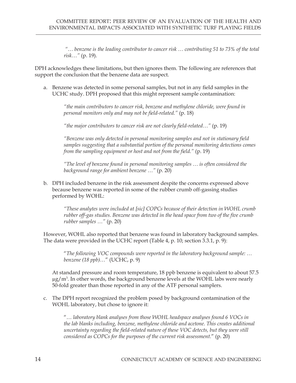*"… benzene is the leading contributor to cancer risk … contributing 51 to 73% of the total risk…"* (p. 19).

DPH acknowledges these limitations, but then ignores them. The following are references that support the conclusion that the benzene data are suspect.

a. Benzene was detected in some personal samples, but not in any field samples in the UCHC study. DPH proposed that this might represent sample contamination:

*"the main contributors to cancer risk, benzene and methylene chloride, were found in personal monitors only and may not be field-related."* (p. 18)

*"the major contributors to cancer risk are not clearly field-related…"* (p. 19)

*"Benzene was only detected in personal monitoring samples and not in stationary field samples suggesting that a substantial portion of the personal monitoring detections comes from the sampling equipment or host and not from the field."* (p. 19)

*"The level of benzene found in personal monitoring samples … is often considered the background range for ambient benzene …"* (p. 20)

b. DPH included benzene in the risk assessment despite the concerns expressed above because benzene was reported in some of the rubber crumb off-gassing studies performed by WOHL:

*"These analytes were included at [sic] COPCs because of their detection in WOHL crumb rubber off-gas studies. Benzene was detected in the head space from two of the five crumb rubber samples …"* (p. 20)

However, WOHL also reported that benzene was found in laboratory background samples. The data were provided in the UCHC report (Table 4, p. 10; section 3.3.1, p. 9):

"*The following VOC compounds were reported in the laboratory background sample: … benzene (18 ppb)…*" (UCHC, p. 9)

At standard pressure and room temperature, 18 ppb benzene is equivalent to about 57.5  $\mu$ g/m<sup>3</sup>. In other words, the background benzene levels at the WOHL labs were nearly 50-fold greater than those reported in any of the ATF personal samplers.

c. The DPH report recognized the problem posed by background contamination of the WOHL laboratory, but chose to ignore it:

"… *laboratory blank analyses from those WOHL headspace analyses found 6 VOCs in the lab blanks including, benzene, methylene chloride and acetone. This creates additional uncertainty regarding the field-related nature of these VOC detects, but they were still considered as COPCs for the purposes of the current risk assessment.*" (p. 20)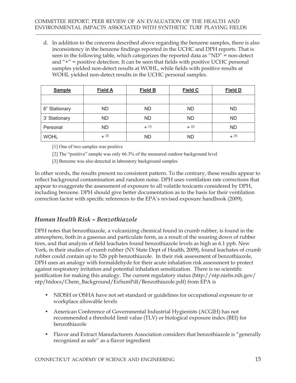d. In addition to the concerns described above regarding the benzene samples, there is also inconsistency in the benzene findings reported in the UCHC and DPH reports. That is seen in the following table, which categorizes the reported data as "ND" = non-detect and "+" = positive detection. It can be seen that fields with positive UCHC personal samples yielded non-detect results at WOHL, while fields with positive results at WOHL yielded non-detect results in the UCHC personal samples.

| <b>Sample</b> | <b>Field A</b> | <b>Field B</b> | <b>Field C</b> | <b>Field D</b> |
|---------------|----------------|----------------|----------------|----------------|
|               |                |                |                |                |
| 6" Stationary | <b>ND</b>      | <b>ND</b>      | <b>ND</b>      | <b>ND</b>      |
| 3' Stationary | <b>ND</b>      | <b>ND</b>      | <b>ND</b>      | <b>ND</b>      |
| Personal      | <b>ND</b>      | $+$ [1]        | $+$ [2]        | <b>ND</b>      |
| <b>WOHL</b>   | $+$ [3]        | <b>ND</b>      | <b>ND</b>      | $+$ [3]        |

[1] One of two samples was positive

[2] The "positive" sample was only 66.3% of the measured outdoor background level

[3] Benzene was also detected in laboratory background samples

In other words, the results present no consistent pattern. To the contrary, these results appear to reflect background contamination and random noise. DPH uses ventilation rate corrections that appear to exaggerate the assessment of exposure to all volatile toxicants considered by DPH, including benzene. DPH should give better documentation as to the basis for their ventilation correction factor with specific references to the EPA's revised exposure handbook (2009).

#### *Human Health Risk – Benzothiazole*

DPH notes that benzothiazole, a vulcanizing chemical found in crumb rubber, is found in the atmosphere, both in a gaseous and particulate form, as a result of the wearing down of rubber tires, and that analysis of field leachates found benzothiazole levels as high as 6.1 ppb. New York, in their studies of crumb rubber (NY State Dept of Health, 2009), found leachates of crumb rubber could contain up to 526 ppb benzothiazole. In their risk assessment of benzothiazole, DPH uses an analogy with formaldehyde for their acute inhalation risk assessment to protect against respiratory irritation and potential inhalation sensitization. There is no scientific justification for making this analogy. The current regulatory status (http://ntp.niehs.nih.gov/ ntp/htdocs/Chem\_Background/ExSumPdf/Benzothiazole.pdf) from EPA is

- NIOSH or OSHA have not set standard or guidelines for occupational exposure to or workplace allowable levels
- American Conference of Governmental Industrial Hygienists (ACGIH) has not recommended a threshold limit value (TLV) or biological exposure index (BEI) for benzothiazole
- Flavor and Extract Manufacturers Association considers that benzothiazole is "generally recognized as safe" as a flavor ingredient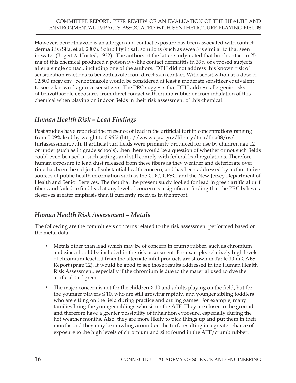However, benzothiazole is an allergen and contact exposure has been associated with contact dermatitis (Sfia, et al, 2007). Solubility in salt solutions (such as sweat) is similar to that seen in water (Bogert & Husted, 1932). The authors of the latter study noted that brief contact to 25 mg of this chemical produced a poison ivy-like contact dermatitis in 39% of exposed subjects after a single contact, including one of the authors. DPH did not address this known risk of sensitization reactions to benzothiazole from direct skin contact. With sensitization at a dose of 12,500 mcg/cm<sup>2</sup>, benzothiazole would be considered at least a moderate sensitizer equivalent to some known fragrance sensitizers. The PRC suggests that DPH address allergenic risks of benzothiazole exposures from direct contact with crumb rubber or from inhalation of this chemical when playing on indoor fields in their risk assessment of this chemical.

## *Human Health Risk – Lead Findings*

Past studies have reported the presence of lead in the artificial turf in concentrations ranging from 0.09% lead by weight to 0.96% (http://www.cpsc.gov/library/foia/foia08/os/ turfassessment.pdf). If artificial turf fields were primarily produced for use by children age 12 or under (such as in grade schools), then there would be a question of whether or not such fields could even be used in such settings and still comply with federal lead regulations. Therefore, human exposure to lead dust released from these fibers as they weather and deteriorate over time has been the subject of substantial health concern, and has been addressed by authoritative sources of public health information such as the CDC, CPSC, and the New Jersey Department of Health and Senior Services. The fact that the present study looked for lead in green artificial turf fibers and failed to find lead at any level of concern is a significant finding that the PRC believes deserves greater emphasis than it currently receives in the report.

## *Human Health Risk Assessment – Metals*

The following are the committee's concerns related to the risk assessment performed based on the metal data.

- Metals other than lead which may be of concern in crumb rubber, such as chromium and zinc, should be included in the risk assessment. For example, relatively high levels of chromium leached from the alternate infill products are shown in Table 10 in CAES Report (page 12). It would be good to see those results addressed in the Human Health Risk Assessment, especially if the chromium is due to the material used to dye the artificial turf green.
- The major concern is not for the children  $> 10$  and adults playing on the field, but for the younger players  $\leq 10$ , who are still growing rapidly, and younger sibling toddlers who are sitting on the field during practice and during games. For example, many families bring the younger siblings who sit on the ATF. They are closer to the ground and therefore have a greater possibility of inhalation exposure, especially during the hot weather months. Also, they are more likely to pick things up and put them in their mouths and they may be crawling around on the turf, resulting in a greater chance of exposure to the high levels of chromium and zinc found in the ATF/crumb rubber.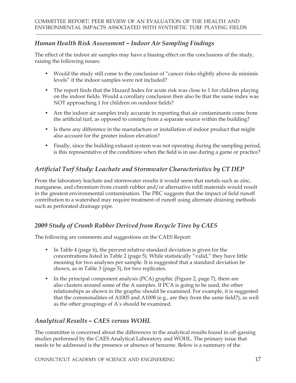## *Human Health Risk Assessment – Indoor Air Sampling Findings*

The effect of the indoor air samples may have a biasing effect on the conclusions of the study, raising the following issues:

- Would the study still come to the conclusion of "cancer risks slightly above de minimis levels" if the indoor samples were not included?
- The report finds that the Hazard Index for acute risk was close to 1 for children playing on the indoor fields. Would a corollary conclusion then also be that the same index was NOT approaching 1 for children on outdoor fields?
- Are the indoor air samples truly accurate in reporting that air contaminants come from the artificial turf, as opposed to coming from a separate source within the building?
- Is there any difference in the manufacture or installation of indoor product that might also account for the greater indoor elevation?
- Finally, since the building exhaust system was not operating during the sampling period, is this representative of the conditions when the field is in use during a game or practice?

## *Artificial Turf Study: Leachate and Stormwater Characteristics by CT DEP*

From the laboratory leachate and stormwater results it would seem that metals such as zinc, manganese, and chromium from crumb rubber and/or alternative infill materials would result in the greatest environmental contamination. The PRC suggests that the impact of field runoff contribution to a watershed may require treatment of runoff using alternate draining methods such as perforated drainage pipe.

## *2009 Study of Crumb Rubber Derived from Recycle Tires by CAES*

The following are comments and suggestions on the CAES Report:

- In Table 4 (page 6), the percent relative standard deviation is given for the concentrations listed in Table 2 (page 5). While statistically "valid," they have little meaning for two analyses per sample. It is suggested that a standard deviation be shown, as in Table 3 (page 5), for two replicates.
- In the principal component analysis (PCA) graphic (Figure 2, page 7), there are also clusters around some of the A samples. If PCA is going to be used, the other relationships as shown in the graphic should be examined. For example, it is suggested that the commonalities of A1005 and A1008 (e.g., are they from the same field?), as well as the other groupings of A's should be examined.

## *Analytical Results – CAES versus WOHL*

The committee is concerned about the differences in the analytical results found in off-gassing studies performed by the CAES Analytical Laboratory and WOHL. The primary issue that needs to be addressed is the presence or absence of benzene. Below is a summary of the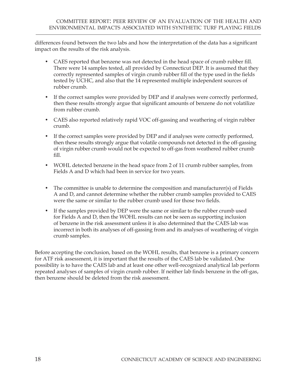differences found between the two labs and how the interpretation of the data has a significant impact on the results of the risk analysis.

- CAES reported that benzene was not detected in the head space of crumb rubber fill. There were 14 samples tested, all provided by Connecticut DEP. It is assumed that they correctly represented samples of virgin crumb rubber fill of the type used in the fields tested by UCHC, and also that the 14 represented multiple independent sources of rubber crumb.
- If the correct samples were provided by DEP and if analyses were correctly performed, then these results strongly argue that significant amounts of benzene do not volatilize from rubber crumb.
- CAES also reported relatively rapid VOC off-gassing and weathering of virgin rubber crumb.
- If the correct samples were provided by DEP and if analyses were correctly performed, then these results strongly argue that volatile compounds not detected in the off-gassing of virgin rubber crumb would not be expected to off-gas from weathered rubber crumb fill.
- WOHL detected benzene in the head space from 2 of 11 crumb rubber samples, from Fields A and D which had been in service for two years.
- The committee is unable to determine the composition and manufacturer(s) of Fields A and D, and cannot determine whether the rubber crumb samples provided to CAES were the same or similar to the rubber crumb used for those two fields.
- If the samples provided by DEP were the same or similar to the rubber crumb used for Fields A and D, then the WOHL results can not be seen as supporting inclusion of benzene in the risk assessment unless it is also determined that the CAES lab was incorrect in both its analyses of off-gassing from and its analyses of weathering of virgin crumb samples.

Before accepting the conclusion, based on the WOHL results, that benzene is a primary concern for ATF risk assessment, it is important that the results of the CAES lab be validated. One possibility is to have the CAES lab and at least one other well-recognized analytical lab perform repeated analyses of samples of virgin crumb rubber. If neither lab finds benzene in the off-gas, then benzene should be deleted from the risk assessment.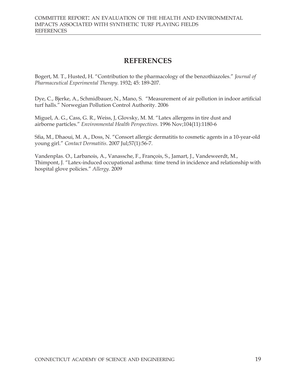## **References**

Bogert, M. T., Husted, H. "Contribution to the pharmacology of the benzothiazoles." *Journal of Pharmaceutical Experimental Therapy.* 1932; 45: 189-207.

Dye, C., Bjerke, A., Schmidbauer, N., Mano, S. "Measurement of air pollution in indoor artificial turf halls." Norwegian Pollution Control Authority. 2006

Miguel, A. G., Cass, G. R., Weiss, J, Glovsky, M. M. "Latex allergens in tire dust and airborne particles." *Environmental Health Perspectives.* 1996 Nov;104(11):1180-6

Sfia, M., Dhaoui, M. A., Doss, N. "Consort allergic dermatitis to cosmetic agents in a 10-year-old young girl." *Contact Dermatitis*. 2007 Jul;57(1):56-7.

Vandenplas. O., Larbanois, A., Vanassche, F., François, S., Jamart, J., Vandeweerdt, M., Thimpont, J. "Latex-induced occupational asthma: time trend in incidence and relationship with hospital glove policies." *Allergy*. 2009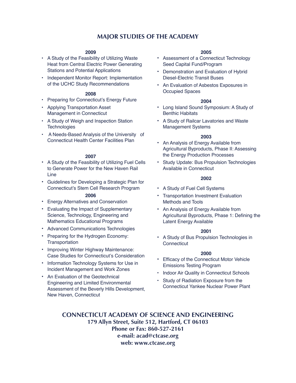### **Major Studies of the Academy**

#### **2009**

- • A Study of the Feasibility of Utilizing Waste Heat from Central Electric Power Generating Stations and Potential Applications
- Independent Monitor Report: Implementation of the UCHC Study Recommendations

#### **2008**

- Preparing for Connecticut's Energy Future
- • Applying Transportation Asset Management in Connecticut
- • A Study of Weigh and Inspection Station **Technologies**
- • A Needs-Based Analysis of the University of Connecticut Health Center Facilities Plan

#### **2007**

- • A Study of the Feasibility of Utilizing Fuel Cells to Generate Power for the New Haven Rail Line
- • Guidelines for Developing a Strategic Plan for Connecticut's Stem Cell Research Program

#### **2006**

- • Energy Alternatives and Conservation
- • Evaluating the Impact of Supplementary Science, Technology, Engineering and Mathematics Educational Programs
- • Advanced Communications Technologies
- • Preparing for the Hydrogen Economy: **Transportation**
- • Improving Winter Highway Maintenance: Case Studies for Connecticut's Consideration
- Information Technology Systems for Use in Incident Management and Work Zones
- An Evaluation of the Geotechnical Engineering and Limited Environmental Assessment of the Beverly Hills Development, New Haven, Connecticut

#### **2005**

- • Assessment of a Connecticut Technology Seed Capital Fund/Program
- • Demonstration and Evaluation of Hybrid Diesel-Electric Transit Buses
- • An Evaluation of Asbestos Exposures in Occupied Spaces

#### **2004**

- • Long Island Sound Symposium: A Study of Benthic Habitats
- • A Study of Railcar Lavatories and Waste Management Systems

#### **2003**

- • An Analysis of Energy Available from Agricultural Byproducts, Phase II: Assessing the Energy Production Processes
- Study Update: Bus Propulsion Technologies Available in Connecticut

#### **2002**

- • A Study of Fuel Cell Systems
- **Transportation Investment Evaluation** Methods and Tools
- • An Analysis of Energy Available from Agricultural Byproducts, Phase 1: Defining the Latent Energy Available

#### **2001**

• A Study of Bus Propulsion Technologies in **Connecticut** 

#### **2000**

- • Efficacy of the Connecticut Motor Vehicle Emissions Testing Program
- Indoor Air Quality in Connecticut Schools
- Study of Radiation Exposure from the Connecticut Yankee Nuclear Power Plant

**Connecticut Academy of Science and Engineering 179 Allyn Street, Suite 512, Hartford, CT 06103 Phone or Fax: 860-527-2161 e-mail: acad@ctcase.org web: www.ctcase.org**